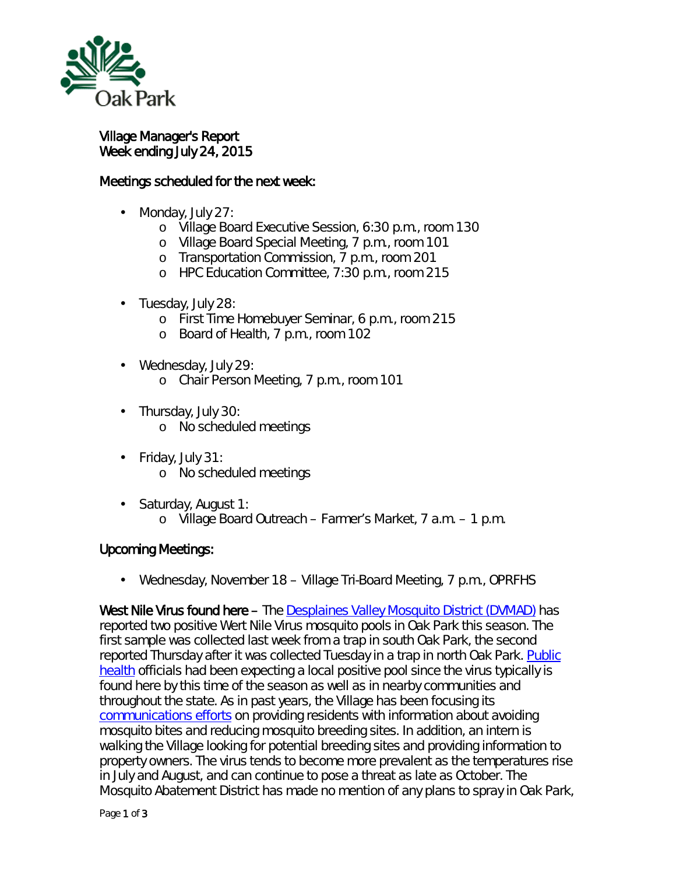

ä,

Village Manager's Report Week ending July 24, 2015

## Meetings scheduled for the next week:

- Monday, July 27:
	- o Village Board Executive Session, 6:30 p.m., room 130
	- o Village Board Special Meeting, 7 p.m., room 101
	- o Transportation Commission, 7 p.m., room 201
	- o HPC Education Committee, 7:30 p.m., room 215
- . Tuesday, July 28:
	- o First Time Homebuyer Seminar, 6 p.m., room 215
	- o Board of Health, 7 p.m., room 102
- Wednesday, July 29:
	- o Chair Person Meeting, 7 p.m., room 101
- . Thursday, July 30: o No scheduled meetings
- Friday, July 31: o No scheduled meetings
- $\mathbf{r}$ Saturday, August 1: o Village Board Outreach – Farmer's Market, 7 a.m. – 1 p.m.

## Upcoming Meetings:

Wednesday, November 18 – Village Tri-Board Meeting, 7 p.m., OPRFHS

West Nile Virus found here – The [Desplaines Valley Mosquito District \(DVMAD\)](http://www.desplainesvalleymad.com/) has reported two positive Wert Nile Virus mosquito pools in Oak Park this season. The first sample was collected last week from a trap in south Oak Park, the second reported Thursday after it was collected Tuesday in a trap in north Oak Park. Public [health](http://www.oak-park.us/village-services/health-department/west-nile-virus) officials had been expecting a local positive pool since the virus typically is found here by this time of the season as well as in nearby communities and throughout the state. As in past years, the Village has been focusing its [communications efforts](http://www.oak-park.us/news/west-nile-virus-threat-increases-summer-heat-intensifies) on providing residents with information about avoiding mosquito bites and reducing mosquito breeding sites. In addition, an intern is walking the Village looking for potential breeding sites and providing information to property owners. The virus tends to become more prevalent as the temperatures rise in July and August, and can continue to pose a threat as late as October. The Mosquito Abatement District has made no mention of any plans to spray in Oak Park,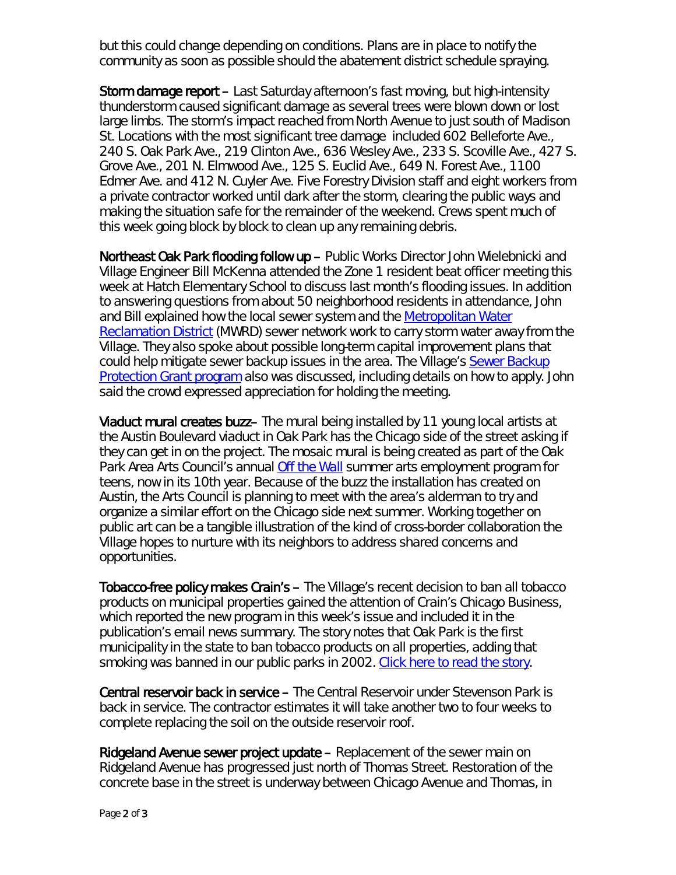but this could change depending on conditions. Plans are in place to notify the community as soon as possible should the abatement district schedule spraying.

Storm damage report – Last Saturday afternoon's fast moving, but high-intensity thunderstorm caused significant damage as several trees were blown down or lost large limbs. The storm's impact reached from North Avenue to just south of Madison St. Locations with the most significant tree damage included 602 Belleforte Ave., 240 S. Oak Park Ave., 219 Clinton Ave., 636 Wesley Ave., 233 S. Scoville Ave., 427 S. Grove Ave., 201 N. Elmwood Ave., 125 S. Euclid Ave., 649 N. Forest Ave., 1100 Edmer Ave. and 412 N. Cuyler Ave. Five Forestry Division staff and eight workers from a private contractor worked until dark after the storm, clearing the public ways and making the situation safe for the remainder of the weekend. Crews spent much of this week going block by block to clean up any remaining debris.

Northeast Oak Park flooding follow up – Public Works Director John Wielebnicki and Village Engineer Bill McKenna attended the Zone 1 resident beat officer meeting this week at Hatch Elementary School to discuss last month's flooding issues. In addition to answering questions from about 50 neighborhood residents in attendance, John and Bill explained how the local sewer system and the [Metropolitan Water](https://www.mwrd.org/irj/portal/anonymous/Home)  [Reclamation District](https://www.mwrd.org/irj/portal/anonymous/Home) (MWRD) sewer network work to carry storm water away from the Village. They also spoke about possible long-term capital improvement plans that could help mitigate sewer backup issues in the area. The Village's [Sewer Backup](http://www.oak-park.us/village-services/housing-programs/sewer-backup-protection-grant)  **[Protection Grant program](http://www.oak-park.us/village-services/housing-programs/sewer-backup-protection-grant)** also was discussed, including details on how to apply. John said the crowd expressed appreciation for holding the meeting.

Viaduct mural creates buzz– The mural being installed by 11 young local artists at the Austin Boulevard viaduct in Oak Park has the Chicago side of the street asking if they can get in on the project. The mosaic mural is being created as part of the Oak Park Area Arts Council's annual *[Off the Wall](http://oakparkareaartscouncil.org/off-the-wall/)* summer arts employment program for teens, now in its 10th year. Because of the buzz the installation has created on Austin, the Arts Council is planning to meet with the area's alderman to try and organize a similar effort on the Chicago side next summer. Working together on public art can be a tangible illustration of the kind of cross-border collaboration the Village hopes to nurture with its neighbors to address shared concerns and opportunities.

Tobacco-free policy makes Crain's – The Village's recent decision to ban all tobacco products on municipal properties gained the attention of *Crain's Chicago Business*, which reported the new program in this week's issue and included it in the publication's email news summary. The story notes that Oak Park is the first municipality in the state to ban tobacco products on all properties, adding that smoking was banned in our public parks in 2002. [Click here to read the story.](http://www.oak-park.us/sites/default/files/456678891/2015-07-22-oak-park-bans-smoking-on-village-property-crains.pdf)

Central reservoir back in service - The Central Reservoir under Stevenson Park is back in service. The contractor estimates it will take another two to four weeks to complete replacing the soil on the outside reservoir roof.

Ridgeland Avenue sewer project update – Replacement of the sewer main on Ridgeland Avenue has progressed just north of Thomas Street. Restoration of the concrete base in the street is underway between Chicago Avenue and Thomas, in